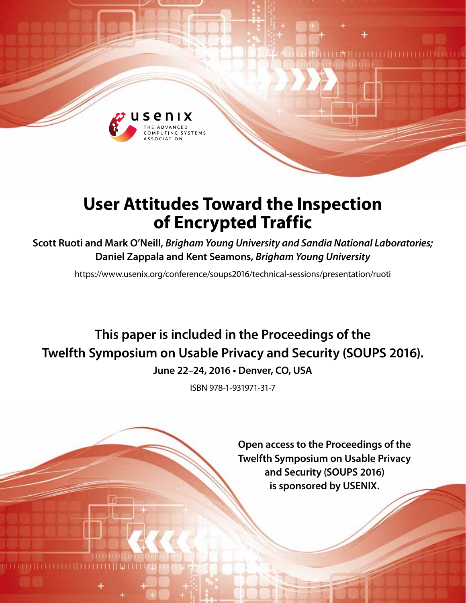

# **User Attitudes Toward the Inspection of Encrypted Traffic**

**Scott Ruoti and Mark O'Neill,** *Brigham Young University and Sandia National Laboratories;*  **Daniel Zappala and Kent Seamons,** *Brigham Young University*

https://www.usenix.org/conference/soups2016/technical-sessions/presentation/ruoti

**This paper is included in the Proceedings of the Twelfth Symposium on Usable Privacy and Security (SOUPS 2016). June 22–24, 2016 • Denver, CO, USA**

ISBN 978-1-931971-31-7

**Open access to the Proceedings of the Twelfth Symposium on Usable Privacy and Security (SOUPS 2016) is sponsored by USENIX.**

**EMILIALITA LII** ETELE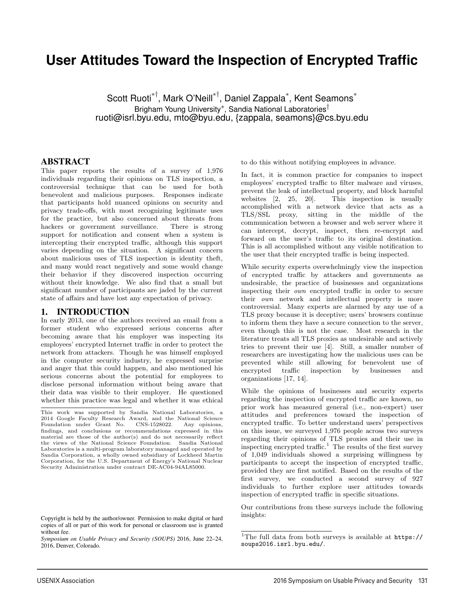# **User Attitudes Toward the Inspection of Encrypted Traffic**

Scott Ruoti<sup>∗⊺</sup>, Mark O'Neill<sup>∗⊺</sup>, Daniel Zappala<sup>\*</sup>, Kent Seamons<sup>\*</sup> Brigham Young University<sup>∗</sup>, Sandia National Laboratories<sup>†</sup> ruoti@isrl.byu.edu, mto@byu.edu, {zappala, seamons}@cs.byu.edu

1

#### ABSTRACT

This paper reports the results of a survey of 1,976 individuals regarding their opinions on TLS inspection, a controversial technique that can be used for both benevolent and malicious purposes. Responses indicate that participants hold nuanced opinions on security and privacy trade-offs, with most recognizing legitimate uses for the practice, but also concerned about threats from hackers or government surveillance. There is strong support for notification and consent when a system is intercepting their encrypted traffic, although this support varies depending on the situation. A significant concern about malicious uses of TLS inspection is identity theft, and many would react negatively and some would change their behavior if they discovered inspection occurring without their knowledge. We also find that a small but significant number of participants are jaded by the current state of affairs and have lost any expectation of privacy.

#### 1. INTRODUCTION

In early 2013, one of the authors received an email from a former student who expressed serious concerns after becoming aware that his employer was inspecting its employees' encrypted Internet traffic in order to protect the network from attackers. Though he was himself employed in the computer security industry, he expressed surprise and anger that this could happen, and also mentioned his serious concerns about the potential for employees to disclose personal information without being aware that their data was visible to their employer. He questioned whether this practice was legal and whether it was ethical to do this without notifying employees in advance.

In fact, it is common practice for companies to inspect employees' encrypted traffic to filter malware and viruses, prevent the leak of intellectual property, and block harmful websites [2, 25, 20]. This inspection is usually accomplished with a network device that acts as a TLS/SSL proxy, sitting in the middle of the communication between a browser and web server where it can intercept, decrypt, inspect, then re-encrypt and forward on the user's traffic to its original destination. This is all accomplished without any visible notification to the user that their encrypted traffic is being inspected.

While security experts overwhelmingly view the inspection of encrypted traffic by attackers and governments as undesirable, the practice of businesses and organizations inspecting their own encrypted traffic in order to secure their own network and intellectual property is more controversial. Many experts are alarmed by any use of a TLS proxy because it is deceptive; users' browsers continue to inform them they have a secure connection to the server, even though this is not the case. Most research in the literature treats all TLS proxies as undesirable and actively tries to prevent their use [4]. Still, a smaller number of researchers are investigating how the malicious uses can be prevented while still allowing for benevolent use of traffic inspection by businesses and organizations [17, 14].

While the opinions of businesses and security experts regarding the inspection of encrypted traffic are known, no prior work has measured general (i.e., non-expert) user attitudes and preferences toward the inspection of encrypted traffic. To better understand users' perspectives on this issue, we surveyed 1,976 people across two surveys regarding their opinions of TLS proxies and their use in inspecting encrypted traffic.<sup>1</sup> The results of the first survey of 1,049 individuals showed a surprising willingness by participants to accept the inspection of encrypted traffic, provided they are first notified. Based on the results of the first survey, we conducted a second survey of 927 individuals to further explore user attitudes towards inspection of encrypted traffic in specific situations.

Our contributions from these surveys include the following insights:

This work was supported by Sandia National Laboratories, a 2014 Google Faculty Research Award, and the National Science Foundation under Grant No. CNS-1528022. Any opinions, findings, and conclusions or recommendations expressed in this material are those of the author(s) and do not necessarily reflect the views of the National Science Foundation. Sandia National Laboratories is a multi-program laboratory managed and operated by Sandia Corporation, a wholly owned subsidiary of Lockheed Martin Corporation, for the U.S. Department of Energy's National Nuclear Security Administration under contract DE-AC04-94AL85000.

Copyright is held by the author/owner. Permission to make digital or hard copies of all or part of this work for personal or classroom use is granted without fee.

*Symposium on Usable Privacy and Security (SOUPS)* 2016, June 22–24, 2016, Denver, Colorado.

<sup>&</sup>lt;sup>1</sup>The full data from both surveys is available at  $https://$ soups2016.isrl.byu.edu/.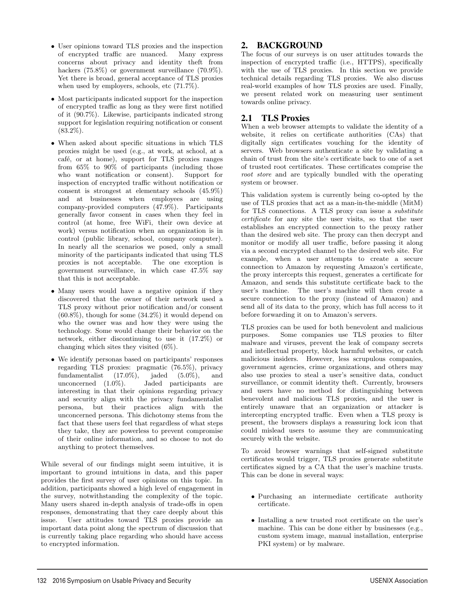- User opinions toward TLS proxies and the inspection of encrypted traffic are nuanced. Many express concerns about privacy and identity theft from hackers (75.8%) or government surveillance (70.9%). Yet there is broad, general acceptance of TLS proxies when used by employers, schools, etc (71.7%).
- Most participants indicated support for the inspection of encrypted traffic as long as they were first notified of it (90.7%). Likewise, participants indicated strong support for legislation requiring notification or consent  $(83.2\%).$
- When asked about specific situations in which TLS proxies might be used (e.g., at work, at school, at a café, or at home), support for TLS proxies ranges from 65% to 90% of participants (including those who want notification or consent). Support for who want notification or consent). inspection of encrypted traffic without notification or consent is strongest at elementary schools (45.9%) and at businesses when employees are using company-provided computers (47.9%). Participants generally favor consent in cases when they feel in control (at home, free WiFi, their own device at work) versus notification when an organization is in control (public library, school, company computer). In nearly all the scenarios we posed, only a small minority of the participants indicated that using TLS proxies is not acceptable. The one exception is government surveillance, in which case 47.5% say that this is not acceptable.
- Many users would have a negative opinion if they discovered that the owner of their network used a TLS proxy without prior notification and/or consent (60.8%), though for some (34.2%) it would depend on who the owner was and how they were using the technology. Some would change their behavior on the network, either discontinuing to use it (17.2%) or changing which sites they visited (6%).
- We identify personas based on participants' responses regarding TLS proxies: pragmatic (76.5%), privacy fundamentalist (17.0%), jaded (5.0%), and unconcerned (1.0%). Jaded participants are interesting in that their opinions regarding privacy and security align with the privacy fundamentalist persona, but their practices align with the unconcerned persona. This dichotomy stems from the fact that these users feel that regardless of what steps they take, they are powerless to prevent compromise of their online information, and so choose to not do anything to protect themselves.

While several of our findings might seem intuitive, it is important to ground intuitions in data, and this paper provides the first survey of user opinions on this topic. In addition, participants showed a high level of engagement in the survey, notwithstanding the complexity of the topic. Many users shared in-depth analysis of trade-offs in open responses, demonstrating that they care deeply about this issue. User attitudes toward TLS proxies provide an important data point along the spectrum of discussion that is currently taking place regarding who should have access to encrypted information.

2

# 2. BACKGROUND

The focus of our surveys is on user attitudes towards the inspection of encrypted traffic (i.e., HTTPS), specifically with the use of TLS proxies. In this section we provide technical details regarding TLS proxies. We also discuss real-world examples of how TLS proxies are used. Finally, we present related work on measuring user sentiment towards online privacy.

# 2.1 TLS Proxies

When a web browser attempts to validate the identity of a website, it relies on certificate authorities (CAs) that digitally sign certificates vouching for the identity of servers. Web browsers authenticate a site by validating a chain of trust from the site's certificate back to one of a set of trusted root certificates. These certificates comprise the root store and are typically bundled with the operating system or browser.

This validation system is currently being co-opted by the use of TLS proxies that act as a man-in-the-middle (MitM) for TLS connections. A TLS proxy can issue a substitute certificate for any site the user visits, so that the user establishes an encrypted connection to the proxy rather than the desired web site. The proxy can then decrypt and monitor or modify all user traffic, before passing it along via a second encrypted channel to the desired web site. For example, when a user attempts to create a secure connection to Amazon by requesting Amazon's certificate, the proxy intercepts this request, generates a certificate for Amazon, and sends this substitute certificate back to the user's machine. The user's machine will then create a secure connection to the proxy (instead of Amazon) and send all of its data to the proxy, which has full access to it before forwarding it on to Amazon's servers.

TLS proxies can be used for both benevolent and malicious purposes. Some companies use TLS proxies to filter malware and viruses, prevent the leak of company secrets and intellectual property, block harmful websites, or catch malicious insiders. However, less scrupulous companies, government agencies, crime organizations, and others may also use proxies to steal a user's sensitive data, conduct surveillance, or commit identity theft. Currently, browsers and users have no method for distinguishing between benevolent and malicious TLS proxies, and the user is entirely unaware that an organization or attacker is intercepting encrypted traffic. Even when a TLS proxy is present, the browsers displays a reassuring lock icon that could mislead users to assume they are communicating securely with the website.

To avoid browser warnings that self-signed substitute certificates would trigger, TLS proxies generate substitute certificates signed by a CA that the user's machine trusts. This can be done in several ways:

- Purchasing an intermediate certificate authority certificate.
- Installing a new trusted root certificate on the user's machine. This can be done either by businesses (e.g., custom system image, manual installation, enterprise PKI system) or by malware.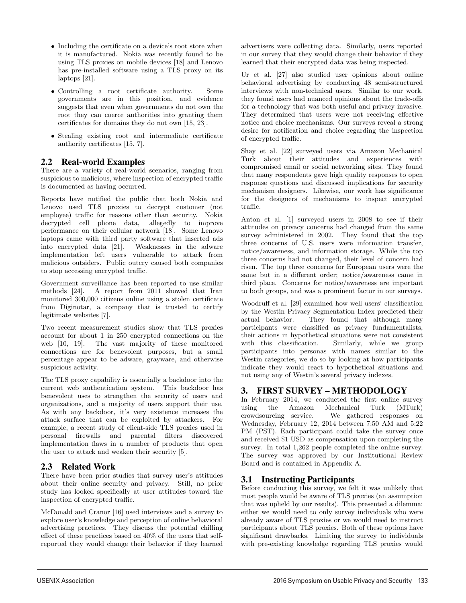- Including the certificate on a device's root store when it is manufactured. Nokia was recently found to be using TLS proxies on mobile devices [18] and Lenovo has pre-installed software using a TLS proxy on its laptops [21].
- Controlling a root certificate authority. Some governments are in this position, and evidence suggests that even when governments do not own the root they can coerce authorities into granting them certificates for domains they do not own [15, 23].
- Stealing existing root and intermediate certificate authority certificates [15, 7].

### 2.2 Real-world Examples

There are a variety of real-world scenarios, ranging from suspicious to malicious, where inspection of encrypted traffic is documented as having occurred.

Reports have notified the public that both Nokia and Lenovo used TLS proxies to decrypt customer (not employee) traffic for reasons other than security. Nokia decrypted cell phone data, allegedly to improve performance on their cellular network [18]. Some Lenovo laptops came with third party software that inserted ads into encrypted data [21]. Weaknesses in the adware implementation left users vulnerable to attack from malicious outsiders. Public outcry caused both companies to stop accessing encrypted traffic.

Government surveillance has been reported to use similar methods [24]. A report from 2011 showed that Iran monitored 300,000 citizens online using a stolen certificate from Diginotar, a company that is trusted to certify legitimate websites [7].

Two recent measurement studies show that TLS proxies account for about 1 in 250 encrypted connections on the web [10, 19]. The vast majority of these monitored connections are for benevolent purposes, but a small percentage appear to be adware, grayware, and otherwise suspicious activity.

The TLS proxy capability is essentially a backdoor into the current web authentication system. This backdoor has benevolent uses to strengthen the security of users and organizations, and a majority of users support their use. As with any backdoor, it's very existence increases the attack surface that can be exploited by attackers. For example, a recent study of client-side TLS proxies used in personal firewalls and parental filters discovered implementation flaws in a number of products that open the user to attack and weaken their security [5].

### 2.3 Related Work

There have been prior studies that survey user's attitudes about their online security and privacy. Still, no prior study has looked specifically at user attitudes toward the inspection of encrypted traffic.

McDonald and Cranor [16] used interviews and a survey to explore user's knowledge and perception of online behavioral advertising practices. They discuss the potential chilling effect of these practices based on 40% of the users that selfreported they would change their behavior if they learned advertisers were collecting data. Similarly, users reported in our survey that they would change their behavior if they learned that their encrypted data was being inspected.

Ur et al. [27] also studied user opinions about online behavioral advertising by conducting 48 semi-structured interviews with non-technical users. Similar to our work, they found users had nuanced opinions about the trade-offs for a technology that was both useful and privacy invasive. They determined that users were not receiving effective notice and choice mechanisms. Our surveys reveal a strong desire for notification and choice regarding the inspection of encrypted traffic.

Shay et al. [22] surveyed users via Amazon Mechanical Turk about their attitudes and experiences with compromised email or social networking sites. They found that many respondents gave high quality responses to open response questions and discussed implications for security mechanism designers. Likewise, our work has significance for the designers of mechanisms to inspect encrypted traffic.

Anton et al. [1] surveyed users in 2008 to see if their attitudes on privacy concerns had changed from the same survey administered in 2002. They found that the top three concerns of U.S. users were information transfer, notice/awareness, and information storage. While the top three concerns had not changed, their level of concern had risen. The top three concerns for European users were the same but in a different order; notice/awareness came in third place. Concerns for notice/awareness are important to both groups, and was a prominent factor in our surveys.

Woodruff et al. [29] examined how well users' classification by the Westin Privacy Segmentation Index predicted their actual behavior. They found that although many participants were classified as privacy fundamentalists, their actions in hypothetical situations were not consistent<br>with this classification. Similarly, while we group Similarly, while we group participants into personas with names similar to the Westin categories, we do so by looking at how participants indicate they would react to hypothetical situations and not using any of Westin's several privacy indexes.

# 3. FIRST SURVEY – METHODOLOGY

In February 2014, we conducted the first online survey using the Amazon Mechanical Turk (MTurk) crowdsourcing service. We gathered responses on Wednesday, February 12, 2014 between 7:50 AM and 5:22 PM (PST). Each participant could take the survey once and received \$1 USD as compensation upon completing the survey. In total 1,262 people completed the online survey. The survey was approved by our Institutional Review Board and is contained in Appendix A.

# 3.1 Instructing Participants

3

Before conducting this survey, we felt it was unlikely that most people would be aware of TLS proxies (an assumption that was upheld by our results). This presented a dilemma: either we would need to only survey individuals who were already aware of TLS proxies or we would need to instruct participants about TLS proxies. Both of these options have significant drawbacks. Limiting the survey to individuals with pre-existing knowledge regarding TLS proxies would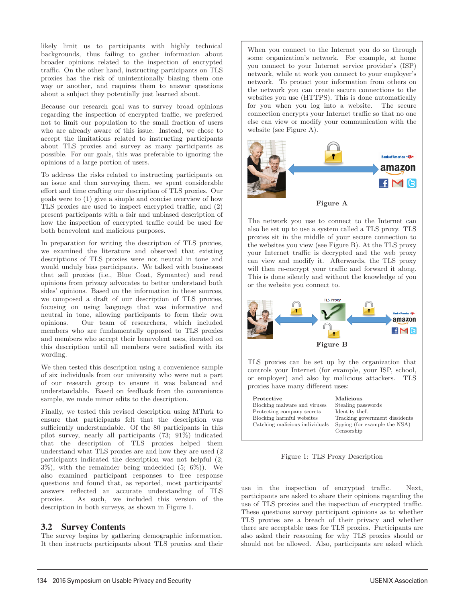likely limit us to participants with highly technical backgrounds, thus failing to gather information about broader opinions related to the inspection of encrypted traffic. On the other hand, instructing participants on TLS proxies has the risk of unintentionally biasing them one way or another, and requires them to answer questions about a subject they potentially just learned about.

Because our research goal was to survey broad opinions regarding the inspection of encrypted traffic, we preferred not to limit our population to the small fraction of users who are already aware of this issue. Instead, we chose to accept the limitations related to instructing participants about TLS proxies and survey as many participants as possible. For our goals, this was preferable to ignoring the opinions of a large portion of users.

To address the risks related to instructing participants on an issue and then surveying them, we spent considerable effort and time crafting our description of TLS proxies. Our goals were to (1) give a simple and concise overview of how TLS proxies are used to inspect encrypted traffic, and (2) present participants with a fair and unbiased description of how the inspection of encrypted traffic could be used for both benevolent and malicious purposes.

In preparation for writing the description of TLS proxies, we examined the literature and observed that existing descriptions of TLS proxies were not neutral in tone and would unduly bias participants. We talked with businesses that sell proxies (i.e., Blue Coat, Symantec) and read opinions from privacy advocates to better understand both sides' opinions. Based on the information in these sources, we composed a draft of our description of TLS proxies, focusing on using language that was informative and neutral in tone, allowing participants to form their own opinions. Our team of researchers, which included members who are fundamentally opposed to TLS proxies and members who accept their benevolent uses, iterated on this description until all members were satisfied with its wording.

We then tested this description using a convenience sample of six individuals from our university who were not a part of our research group to ensure it was balanced and understandable. Based on feedback from the convenience sample, we made minor edits to the description.

Finally, we tested this revised description using MTurk to ensure that participants felt that the description was sufficiently understandable. Of the 80 participants in this pilot survey, nearly all participants (73; 91%) indicated that the description of TLS proxies helped them understand what TLS proxies are and how they are used (2 participants indicated the description was not helpful (2;  $3\%$ ), with the remainder being undecided  $(5; 6\%)$ ). We also examined participant responses to free response questions and found that, as reported, most participants' answers reflected an accurate understanding of TLS proxies. As such, we included this version of the description in both surveys, as shown in Figure 1.

### 3.2 Survey Contents

The survey begins by gathering demographic information. It then instructs participants about TLS proxies and their

4

When you connect to the Internet you do so through some organization's network. For example, at home you connect to your Internet service provider's (ISP) network, while at work you connect to your employer's network. To protect your information from others on the network you can create secure connections to the websites you use (HTTPS). This is done automatically for you when you log into a website. The secure connection encrypts your Internet traffic so that no one else can view or modify your communication with the website (see Figure A).



The network you use to connect to the Internet can also be set up to use a system called a TLS proxy. TLS proxies sit in the middle of your secure connection to the websites you view (see Figure B). At the TLS proxy your Internet traffic is decrypted and the web proxy can view and modify it. Afterwards, the TLS proxy will then re-encrypt your traffic and forward it along. This is done silently and without the knowledge of you or the website you connect to.



TLS proxies can be set up by the organization that controls your Internet (for example, your ISP, school, or employer) and also by malicious attackers. TLS proxies have many different uses:

| Protective                     | Malicious                      |
|--------------------------------|--------------------------------|
| Blocking malware and viruses   | Stealing passwords             |
| Protecting company secrets     | Identity theft                 |
| Blocking harmful websites      | Tracking government dissidents |
| Catching malicious individuals | Spying (for example the NSA)   |
|                                | Censorship                     |
|                                |                                |

Figure 1: TLS Proxy Description

use in the inspection of encrypted traffic. Next, participants are asked to share their opinions regarding the use of TLS proxies and the inspection of encrypted traffic. These questions survey participant opinions as to whether TLS proxies are a breach of their privacy and whether there are acceptable uses for TLS proxies. Participants are also asked their reasoning for why TLS proxies should or should not be allowed. Also, participants are asked which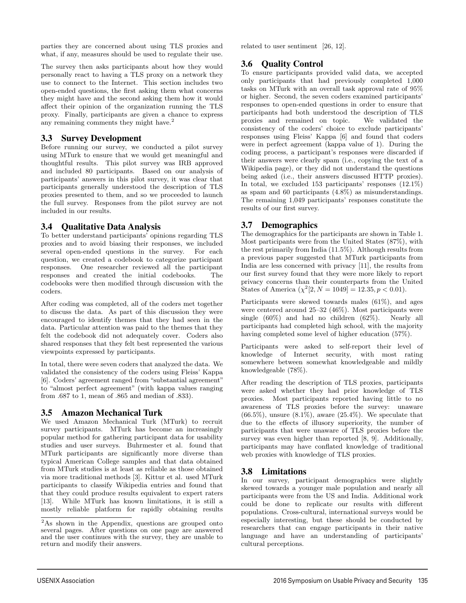parties they are concerned about using TLS proxies and what, if any, measures should be used to regulate their use.

The survey then asks participants about how they would personally react to having a TLS proxy on a network they use to connect to the Internet. This section includes two open-ended questions, the first asking them what concerns they might have and the second asking them how it would affect their opinion of the organization running the TLS proxy. Finally, participants are given a chance to express any remaining comments they might have.<sup>2</sup>

# 3.3 Survey Development

Before running our survey, we conducted a pilot survey using MTurk to ensure that we would get meaningful and thoughtful results. This pilot survey was IRB approved and included 80 participants. Based on our analysis of participants' answers in this pilot survey, it was clear that participants generally understood the description of TLS proxies presented to them, and so we proceeded to launch the full survey. Responses from the pilot survey are not included in our results.

# 3.4 Qualitative Data Analysis

To better understand participants' opinions regarding TLS proxies and to avoid biasing their responses, we included several open-ended questions in the survey. For each question, we created a codebook to categorize participant responses. One researcher reviewed all the participant responses and created the initial codebooks. The codebooks were then modified through discussion with the coders.

After coding was completed, all of the coders met together to discuss the data. As part of this discussion they were encouraged to identify themes that they had seen in the data. Particular attention was paid to the themes that they felt the codebook did not adequately cover. Coders also shared responses that they felt best represented the various viewpoints expressed by participants.

In total, there were seven coders that analyzed the data. We validated the consistency of the coders using Fleiss' Kappa [6]. Coders' agreement ranged from "substantial agreement" to "almost perfect agreement" (with kappa values ranging from .687 to 1, mean of .865 and median of .833).

# 3.5 Amazon Mechanical Turk

We used Amazon Mechanical Turk (MTurk) to recruit survey participants. MTurk has become an increasingly popular method for gathering participant data for usability studies and user surveys. Buhrmester et al. found that MTurk participants are significantly more diverse than typical American College samples and that data obtained from MTurk studies is at least as reliable as those obtained via more traditional methods [3]. Kittur et al. used MTurk participants to classify Wikipedia entries and found that that they could produce results equivalent to expert raters [13]. While MTurk has known limitations, it is still a mostly reliable platform for rapidly obtaining results related to user sentiment [26, 12].

# 3.6 Quality Control

To ensure participants provided valid data, we accepted only participants that had previously completed 1,000 tasks on MTurk with an overall task approval rate of 95% or higher. Second, the seven coders examined participants' responses to open-ended questions in order to ensure that participants had both understood the description of TLS proxies and remained on topic. consistency of the coders' choice to exclude participants' responses using Fleiss' Kappa [6] and found that coders were in perfect agreement (kappa value of 1). During the coding process, a participant's responses were discarded if their answers were clearly spam (i.e., copying the text of a Wikipedia page), or they did not understand the questions being asked (i.e., their answers discussed HTTP proxies). In total, we excluded 153 participants' responses (12.1%) as spam and 60 participants (4.8%) as misunderstandings. The remaining 1,049 participants' responses constitute the results of our first survey.

# 3.7 Demographics

The demographics for the participants are shown in Table 1. Most participants were from the United States (87%), with the rest primarily from India (11.5%). Although results from a previous paper suggested that MTurk participants from India are less concerned with privacy [11], the results from our first survey found that they were more likely to report privacy concerns than their counterparts from the United States of America  $(\chi^2[2, N = 1049] = 12.35, p < 0.01)$ .

Participants were skewed towards males (61%), and ages were centered around 25–32 (46%). Most participants were single (60%) and had no children (62%). Nearly all participants had completed high school, with the majority having completed some level of higher education (57%).

Participants were asked to self-report their level of knowledge of Internet security, with most rating somewhere between somewhat knowledgeable and mildly knowledgeable (78%).

After reading the description of TLS proxies, participants were asked whether they had prior knowledge of TLS proxies. Most participants reported having little to no awareness of TLS proxies before the survey: unaware (66.5%), unsure  $(8.1\%)$ , aware  $(25.4\%)$ . We speculate that due to the effects of illusory superiority, the number of participants that were unaware of TLS proxies before the survey was even higher than reported [8, 9]. Additionally, participants may have conflated knowledge of traditional web proxies with knowledge of TLS proxies.

# 3.8 Limitations

5

In our survey, participant demographics were slightly skewed towards a younger male population and nearly all participants were from the US and India. Additional work could be done to replicate our results with different populations. Cross-cultural, international surveys would be especially interesting, but these should be conducted by researchers that can engage participants in their native language and have an understanding of participants' cultural perceptions.

<sup>2</sup>As shown in the Appendix, questions are grouped onto several pages. After questions on one page are answered and the user continues with the survey, they are unable to return and modify their answers.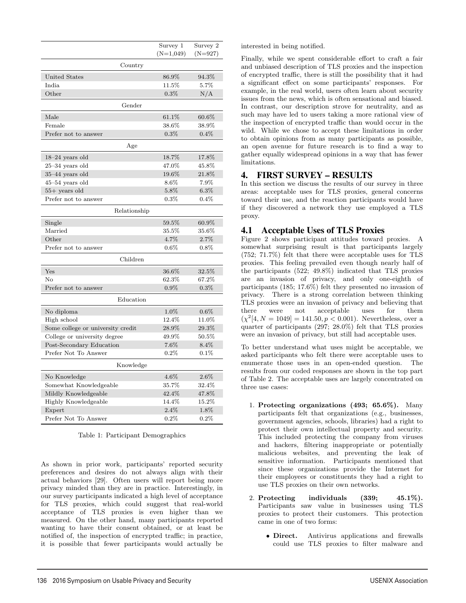|                                   | Survey 1<br>$(N=1,049)$ | Survey 2<br>(N=927) |  |  |
|-----------------------------------|-------------------------|---------------------|--|--|
| Country                           |                         |                     |  |  |
| United States                     | 86.9%                   | 94.3%               |  |  |
| India                             | 11.5%                   | $5.7\%$             |  |  |
| Other                             | $0.3\%$                 | N/A                 |  |  |
| Gender                            |                         |                     |  |  |
| Male                              | 61.1%                   | 60.6%               |  |  |
| Female                            | 38.6%                   | 38.9%               |  |  |
| Prefer not to answer              | $0.3\%$                 | 0.4%                |  |  |
| Age                               |                         |                     |  |  |
| $18-24$ years old                 | 18.7%                   | 17.8%               |  |  |
| $25-34$ years old                 | 47.0%                   | 45.8%               |  |  |
| $35-44$ years old                 | 19.6%                   | 21.8%               |  |  |
| $45-54$ years old                 | $8.6\%$                 | 7.9%                |  |  |
| $55+$ years old                   | 5.8%                    | 6.3%                |  |  |
| Prefer not to answer              | 0.3%                    | $0.4\%$             |  |  |
| Relationship                      |                         |                     |  |  |
| Single                            | 59.5%                   | 60.9%               |  |  |
| Married                           | 35.5%                   | 35.6%               |  |  |
| Other                             | 4.7%                    | 2.7%                |  |  |
| Prefer not to answer              | $0.6\%$                 | 0.8%                |  |  |
| Children                          |                         |                     |  |  |
| Yes                               | 36.6%                   | 32.5%               |  |  |
| No                                | 62.3%                   | 67.2%               |  |  |
| Prefer not to answer              | $0.9\%$                 | 0.3%                |  |  |
| Education                         |                         |                     |  |  |
| No diploma                        | 1.0%                    | $0.6\%$             |  |  |
| High school                       | 12.4%                   | 11.0%               |  |  |
| Some college or university credit | 28.9%                   | 29.3%               |  |  |
| College or university degree      | 49.9%                   | $50.5\%$            |  |  |
| Post-Secondary Education          | 7.6%                    | 8.4%                |  |  |
| Prefer Not To Answer              | $0.2\%$                 | $0.1\%$             |  |  |
| Knowledge                         |                         |                     |  |  |
| No Knowledge                      | $4.6\%$                 | $2.6\%$             |  |  |
| Somewhat Knowledgeable            | 35.7%                   | 32.4%               |  |  |
| Mildly Knowledgeable              | 42.4%                   | 47.8%               |  |  |
| Highly Knowledgeable              | 14.4%                   | 15.2%               |  |  |
| Expert                            | 2.4%                    | 1.8%                |  |  |
| Prefer Not To Answer              | 0.2%                    | $0.2\%$             |  |  |

|  |  | Table 1: Participant Demographics |
|--|--|-----------------------------------|
|--|--|-----------------------------------|

As shown in prior work, participants' reported security preferences and desires do not always align with their actual behaviors [29]. Often users will report being more privacy minded than they are in practice. Interestingly, in our survey participants indicated a high level of acceptance for TLS proxies, which could suggest that real-world acceptance of TLS proxies is even higher than we measured. On the other hand, many participants reported wanting to have their consent obtained, or at least be notified of, the inspection of encrypted traffic; in practice, it is possible that fewer participants would actually be

6

interested in being notified.

Finally, while we spent considerable effort to craft a fair and unbiased description of TLS proxies and the inspection of encrypted traffic, there is still the possibility that it had a significant effect on some participants' responses. For example, in the real world, users often learn about security issues from the news, which is often sensational and biased. In contrast, our description strove for neutrality, and as such may have led to users taking a more rational view of the inspection of encrypted traffic than would occur in the wild. While we chose to accept these limitations in order to obtain opinions from as many participants as possible, an open avenue for future research is to find a way to gather equally widespread opinions in a way that has fewer limitations.

# 4. FIRST SURVEY – RESULTS

In this section we discuss the results of our survey in three areas: acceptable uses for TLS proxies, general concerns toward their use, and the reaction participants would have if they discovered a network they use employed a TLS proxy.

# 4.1 Acceptable Uses of TLS Proxies

Figure 2 shows participant attitudes toward proxies. A somewhat surprising result is that participants largely (752; 71.7%) felt that there were acceptable uses for TLS proxies. This feeling prevailed even though nearly half of the participants (522; 49.8%) indicated that TLS proxies are an invasion of privacy, and only one-eighth of participants (185; 17.6%) felt they presented no invasion of privacy. There is a strong correlation between thinking TLS proxies were an invasion of privacy and believing that there were not acceptable uses for them there were not acceptable uses for them  $(\chi^2[4, N = 1049] = 141.50, p < 0.001)$ . Nevertheless, over a quarter of participants (297; 28.0%) felt that TLS proxies were an invasion of privacy, but still had acceptable uses.

To better understand what uses might be acceptable, we asked participants who felt there were acceptable uses to enumerate those uses in an open-ended question. The results from our coded responses are shown in the top part of Table 2. The acceptable uses are largely concentrated on three use cases:

- 1. Protecting organizations (493; 65.6%). Many participants felt that organizations (e.g., businesses, government agencies, schools, libraries) had a right to protect their own intellectual property and security. This included protecting the company from viruses and hackers, filtering inappropriate or potentially malicious websites, and preventing the leak of sensitive information. Participants mentioned that since these organizations provide the Internet for their employees or constituents they had a right to use TLS proxies on their own networks.
- 2. Protecting individuals  $(339; 45.1\%).$ Participants saw value in businesses using TLS proxies to protect their customers. This protection came in one of two forms:
	- Direct. Antivirus applications and firewalls could use TLS proxies to filter malware and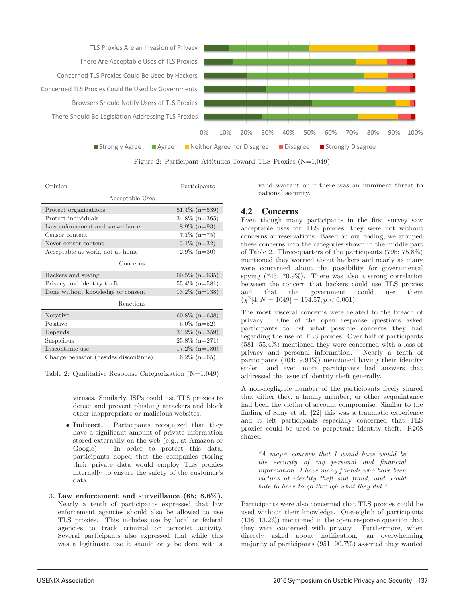

Figure 2: Participant Attitudes Toward TLS Proxies (N=1,049)

7

| Opinion                               | Participants     |  |  |
|---------------------------------------|------------------|--|--|
| Acceptable Uses                       |                  |  |  |
| Protect organizations                 | $51.4\%$ (n=539) |  |  |
| Protect individuals                   | $34.8\%$ (n=365) |  |  |
| Law enforcement and surveillance      | $8.9\%$ (n=93)   |  |  |
| Censor content                        | $7.1\%$ (n=75)   |  |  |
| Never censor content                  | $3.1\%$ (n=32)   |  |  |
| Acceptable at work, not at home       | $2.9\%$ (n=30)   |  |  |
| Concerns                              |                  |  |  |
| Hackers and spying                    | $60.5\%$ (n=635) |  |  |
| Privacy and identity theft            | $55.4\%$ (n=581) |  |  |
| Done without knowledge or consent     | $13.2\%$ (n=138) |  |  |
| Reactions                             |                  |  |  |
| Negative                              | $60.8\%$ (n=638) |  |  |
| Positive                              | $5.0\%$ (n=52)   |  |  |
| Depends                               | $34.2\%$ (n=359) |  |  |
| Suspicious                            | 25.8% (n=271)    |  |  |
| Discontinue use                       | $17.2\%$ (n=180) |  |  |
| Change behavior (besides discontinue) | $6.2\%$ (n=65)   |  |  |

Table 2: Qualitative Response Categorization (N=1,049)

viruses. Similarly, ISPs could use TLS proxies to detect and prevent phishing attackers and block other inappropriate or malicious websites.

- Indirect. Participants recognized that they have a significant amount of private information stored externally on the web (e.g., at Amazon or Google). In order to protect this data, participants hoped that the companies storing their private data would employ TLS proxies internally to ensure the safety of the customer's data.
- 3. Law enforcement and surveillance (65; 8.6%). Nearly a tenth of participants expressed that law enforcement agencies should also be allowed to use TLS proxies. This includes use by local or federal agencies to track criminal or terrorist activity. Several participants also expressed that while this was a legitimate use it should only be done with a

valid warrant or if there was an imminent threat to national security.

### 4.2 Concerns

Even though many participants in the first survey saw acceptable uses for TLS proxies, they were not without concerns or reservations. Based on our coding, we grouped these concerns into the categories shown in the middle part of Table 2. Three-quarters of the participants (795; 75.8%) mentioned they worried about hackers and nearly as many were concerned about the possibility for governmental spying (743; 70.9%). There was also a strong correlation between the concern that hackers could use TLS proxies and that the government could use them  $(\chi^2[4, N = 1049] = 194.57, p < 0.001).$ 

The most visceral concerns were related to the breach of privacy. One of the open response questions asked participants to list what possible concerns they had regarding the use of TLS proxies. Over half of participants (581; 55.4%) mentioned they were concerned with a loss of privacy and personal information. Nearly a tenth of participants (104; 9.91%) mentioned having their identity stolen, and even more participants had answers that addressed the issue of identity theft generally.

A non-negligible number of the participants freely shared that either they, a family member, or other acquaintance had been the victim of account compromise. Similar to the finding of Shay et al. [22] this was a traumatic experience and it left participants especially concerned that TLS proxies could be used to perpetrate identity theft. R208 shared,

"A major concern that I would have would be the security of my personal and financial information. I have many friends who have been victims of identity theft and fraud, and would hate to have to go through what they did."

Participants were also concerned that TLS proxies could be used without their knowledge. One-eighth of participants (138; 13.2%) mentioned in the open response question that they were concerned with privacy. Furthermore, when directly asked about notification, an overwhelming majority of participants (951; 90.7%) asserted they wanted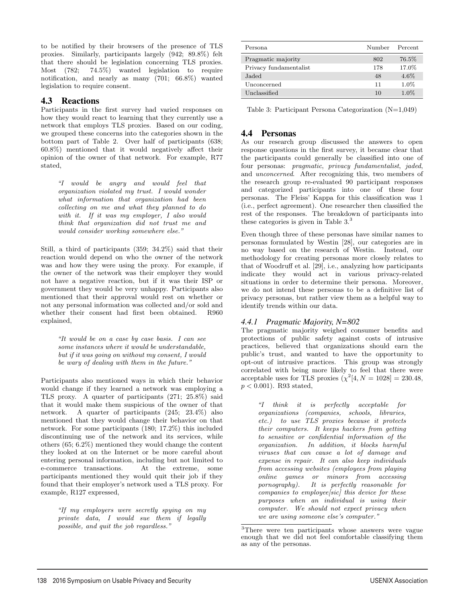to be notified by their browsers of the presence of TLS proxies. Similarly, participants largely (942; 89.8%) felt that there should be legislation concerning TLS proxies. Most (782; 74.5%) wanted legislation to require notification, and nearly as many (701; 66.8%) wanted legislation to require consent.

#### 4.3 Reactions

Participants in the first survey had varied responses on how they would react to learning that they currently use a network that employs TLS proxies. Based on our coding, we grouped these concerns into the categories shown in the bottom part of Table 2. Over half of participants (638; 60.8%) mentioned that it would negatively affect their opinion of the owner of that network. For example, R77 stated,

"I would be angry and would feel that organization violated my trust. I would wonder what information that organization had been collecting on me and what they planned to do with it. If it was my employer, I also would think that organization did not trust me and would consider working somewhere else."

Still, a third of participants (359; 34.2%) said that their reaction would depend on who the owner of the network was and how they were using the proxy. For example, if the owner of the network was their employer they would not have a negative reaction, but if it was their ISP or government they would be very unhappy. Participants also mentioned that their approval would rest on whether or not any personal information was collected and/or sold and whether their consent had first been obtained. R960 explained,

"It would be on a case by case basis. I can see some instances where it would be understandable, but if it was going on without my consent, I would be wary of dealing with them in the future."

Participants also mentioned ways in which their behavior would change if they learned a network was employing a TLS proxy. A quarter of participants (271; 25.8%) said that it would make them suspicious of the owner of that network. A quarter of participants (245; 23.4%) also mentioned that they would change their behavior on that network. For some participants (180; 17.2%) this included discontinuing use of the network and its services, while others (65; 6.2%) mentioned they would change the content they looked at on the Internet or be more careful about entering personal information, including but not limited to e-commerce transactions. At the extreme, some At the extreme, some participants mentioned they would quit their job if they found that their employer's network used a TLS proxy. For example, R127 expressed,

"If my employers were secretly spying on my private data, I would sue them if legally possible, and quit the job regardless."

| Persona.               | Number | Percent. |
|------------------------|--------|----------|
| Pragmatic majority     | 802    | 76.5%    |
| Privacy fundamentalist | 178    | 17.0%    |
| Jaded.                 | 48     | $4.6\%$  |
| Unconcerned            | 11     | $1.0\%$  |
| Unclassified           | 10     | 1.0%     |

Table 3: Participant Persona Categorization (N=1,049)

### 4.4 Personas

As our research group discussed the answers to open response questions in the first survey, it became clear that the participants could generally be classified into one of four personas: pragmatic, privacy fundamentalist, jaded, and unconcerned. After recognizing this, two members of the research group re-evaluated 90 participant responses and categorized participants into one of these four personas. The Fleiss' Kappa for this classification was 1 (i.e., perfect agreement). One researcher then classified the rest of the responses. The breakdown of participants into these categories is given in Table 3.<sup>3</sup>

Even though three of these personas have similar names to personas formulated by Westin [28], our categories are in no way based on the research of Westin. Instead, our methodology for creating personas more closely relates to that of Woodruff et al. [29], i.e., analyzing how participants indicate they would act in various privacy-related situations in order to determine their persona. Moreover, we do not intend these personas to be a definitive list of privacy personas, but rather view them as a helpful way to identify trends within our data.

#### *4.4.1 Pragmatic Majority, N=802*

The pragmatic majority weighed consumer benefits and protections of public safety against costs of intrusive practices, believed that organizations should earn the public's trust, and wanted to have the opportunity to opt-out of intrusive practices. This group was strongly correlated with being more likely to feel that there were acceptable uses for TLS proxies  $(\chi^2|4, N = 1028] = 230.48$ ,  $p < 0.001$ ). R93 stated,

"I think it is perfectly acceptable for organizations (companies, schools, libraries, etc.) to use TLS proxies because it protects their computers. It keeps hackers from getting to sensitive or confidential information of the organization. In addition, it blocks harmful viruses that can cause a lot of damage and expense in repair. It can also keep individuals from accessing websites (employees from playing online games or minors from accessing pornography). It is perfectly reasonable for companies to employee[sic] this device for these purposes when an individual is using their computer. We should not expect privacy when we are using someone else's computer."

8

<sup>3</sup>There were ten participants whose answers were vague enough that we did not feel comfortable classifying them as any of the personas.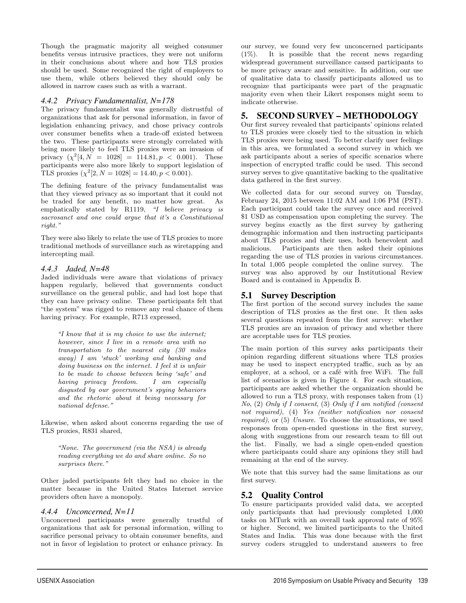Though the pragmatic majority all weighed consumer benefits versus intrusive practices, they were not uniform in their conclusions about where and how TLS proxies should be used. Some recognized the right of employers to use them, while others believed they should only be allowed in narrow cases such as with a warrant.

#### *4.4.2 Privacy Fundamentalist, N=178*

The privacy fundamentalist was generally distrustful of organizations that ask for personal information, in favor of legislation enhancing privacy, and chose privacy controls over consumer benefits when a trade-off existed between the two. These participants were strongly correlated with being more likely to feel TLS proxies were an invasion of privacy  $(\chi^2[4, N = 1028] = 114.81, p < 0.001)$ . These participants were also more likely to support legislation of TLS proxies  $(\chi^2[2, N = 1028] = 14.40, p < 0.001)$ .

The defining feature of the privacy fundamentalist was that they viewed privacy as so important that it could not be traded for any benefit, no matter how great. As emphatically stated by R1119, "I believe privacy is sacrosanct and one could argue that it's a Constitutional right."

They were also likely to relate the use of TLS proxies to more traditional methods of surveillance such as wiretapping and intercepting mail.

#### *4.4.3 Jaded, N=48*

Jaded individuals were aware that violations of privacy happen regularly, believed that governments conduct surveillance on the general public, and had lost hope that they can have privacy online. These participants felt that "the system" was rigged to remove any real chance of them having privacy. For example, R713 expressed,

"I know that it is my choice to use the internet; however, since I live in a remote area with no transportation to the nearest city (30 miles away) I am 'stuck' working and banking and doing business on the internet. I feel it is unfair to be made to choose between being 'safe' and having privacy freedom. I am especially disgusted by our government's spying behaviors and the rhetoric about it being necessary for national defense."

Likewise, when asked about concerns regarding the use of TLS proxies, R831 shared,

"None. The government (via the NSA) is already reading everything we do and share online. So no surprises there."

Other jaded participants felt they had no choice in the matter because in the United States Internet service providers often have a monopoly.

#### *4.4.4 Unconcerned, N=11*

Unconcerned participants were generally trustful of organizations that ask for personal information, willing to sacrifice personal privacy to obtain consumer benefits, and not in favor of legislation to protect or enhance privacy. In our survey, we found very few unconcerned participants (1%). It is possible that the recent news regarding widespread government surveillance caused participants to be more privacy aware and sensitive. In addition, our use of qualitative data to classify participants allowed us to recognize that participants were part of the pragmatic majority even when their Likert responses might seem to indicate otherwise.

# 5. SECOND SURVEY – METHODOLOGY

Our first survey revealed that participants' opinions related to TLS proxies were closely tied to the situation in which TLS proxies were being used. To better clarify user feelings in this area, we formulated a second survey in which we ask participants about a series of specific scenarios where inspection of encrypted traffic could be used. This second survey serves to give quantitative backing to the qualitative data gathered in the first survey.

We collected data for our second survey on Tuesday, February 24, 2015 between 11:02 AM and 1:06 PM (PST). Each participant could take the survey once and received \$1 USD as compensation upon completing the survey. The survey begins exactly as the first survey by gathering demographic information and then instructing participants about TLS proxies and their uses, both benevolent and malicious. Participants are then asked their opinions regarding the use of TLS proxies in various circumstances. In total 1,005 people completed the online survey. The survey was also approved by our Institutional Review Board and is contained in Appendix B.

# 5.1 Survey Description

The first portion of the second survey includes the same description of TLS proxies as the first one. It then asks several questions repeated from the first survey: whether TLS proxies are an invasion of privacy and whether there are acceptable uses for TLS proxies.

The main portion of this survey asks participants their opinion regarding different situations where TLS proxies may be used to inspect encrypted traffic, such as by an employer, at a school, or a café with free WiFi. The full list of scenarios is given in Figure 4. For each situation, participants are asked whether the organization should be allowed to run a TLS proxy, with responses taken from (1) No, (2) Only if I consent, (3) Only if I am notified (consent not required), (4) Yes (neither notification nor consent required), or (5) Unsure. To choose the situations, we used responses from open-ended questions in the first survey, along with suggestions from our research team to fill out the list. Finally, we had a single open-ended question where participants could share any opinions they still had remaining at the end of the survey.

We note that this survey had the same limitations as our first survey.

# 5.2 Quality Control

9

To ensure participants provided valid data, we accepted only participants that had previously completed 1,000 tasks on MTurk with an overall task approval rate of 95% or higher. Second, we limited participants to the United States and India. This was done because with the first survey coders struggled to understand answers to free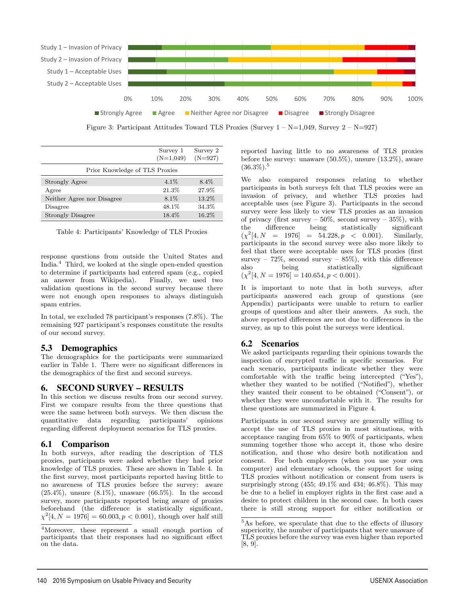

Figure 3: Participant Attitudes Toward TLS Proxies (Survey  $1 - N = 1,049$ , Survey  $2 - N = 927$ )

|                                | Survey 1<br>$(N=1,049)$ | Survey 2<br>$(N=927)$ |  |
|--------------------------------|-------------------------|-----------------------|--|
| Prior Knowledge of TLS Proxies |                         |                       |  |
| Strongly Agree                 | $4.1\%$                 | 8.4%                  |  |
| Agree                          | 21.3%                   | 27.9%                 |  |
| Neither Agree nor Disagree     | 8.1\%                   | 13.2%                 |  |
| Disagree                       | 48.1\%                  | 34.3%                 |  |
| Strongly Disagree              | 18.4%                   | 16.2%                 |  |

Table 4: Participants' Knowledge of TLS Proxies

response questions from outside the United States and India.<sup>4</sup> Third, we looked at the single open-ended question to determine if participants had entered spam (e.g., copied an answer from Wikipedia). Finally, we used two validation questions in the second survey because there were not enough open responses to always distinguish spam entries.

In total, we excluded 78 participant's responses (7.8%). The remaining 927 participant's responses constitute the results of our second survey.

#### 5.3 Demographics

The demographics for the participants were summarized earlier in Table 1. There were no significant differences in the demographics of the first and second surveys.

### 6. SECOND SURVEY – RESULTS

In this section we discuss results from our second survey. First we compare results from the three questions that were the same between both surveys. We then discuss the quantitative data regarding participants' opinions regarding different deployment scenarios for TLS proxies.

### 6.1 Comparison

In both surveys, after reading the description of TLS proxies, participants were asked whether they had prior knowledge of TLS proxies. These are shown in Table 4. In the first survey, most participants reported having little to no awareness of TLS proxies before the survey: aware  $(25.4\%)$ , unsure  $(8.1\%)$ , unaware  $(66.5\%)$ . In the second survey, more participants reported being aware of proxies beforehand (the difference is statistically significant,  $\chi^2[4, N = 1976] = 60.003, p < 0.001$ , though over half still reported having little to no awareness of TLS proxies before the survey: unaware (50.5%), unsure (13.2%), aware  $(36.3\%)$ <sup>5</sup>

We also compared responses relating to whether participants in both surveys felt that TLS proxies were an invasion of privacy, and whether TLS proxies had acceptable uses (see Figure 3). Participants in the second survey were less likely to view TLS proxies as an invasion of privacy (first survey – 50%, second survey – 35%), with<br>the difference being statistically significant the difference being statistically significant  $(\chi^2[4, N = 1976] = 54.228, p < 0.001)$ . Similarly, participants in the second survey were also more likely to feel that there were acceptable uses for TLS proxies (first survey –  $72\%$ , second survey –  $85\%$ ), with this difference also being statistically significant  $(\chi^2[4, N = 1976] = 140.654, p < 0.001).$ 

It is important to note that in both surveys, after participants answered each group of questions (see Appendix) participants were unable to return to earlier groups of questions and alter their answers. As such, the above reported differences are not due to differences in the survey, as up to this point the surveys were identical.

### 6.2 Scenarios

10

We asked participants regarding their opinions towards the inspection of encrypted traffic in specific scenarios. For each scenario, participants indicate whether they were comfortable with the traffic being intercepted ("Yes"), whether they wanted to be notified ("Notified"), whether they wanted their consent to be obtained ("Consent"), or whether they were uncomfortable with it. The results for these questions are summarized in Figure 4.

Participants in our second survey are generally willing to accept the use of TLS proxies in most situations, with acceptance ranging from 65% to 90% of participants, when summing together those who accept it, those who desire notification, and those who desire both notification and consent. For both employers (when you use your own computer) and elementary schools, the support for using TLS proxies without notification or consent from users is surprisingly strong  $(455; 49.1\%$  and  $434; 46.8\%$ ). This may be due to a belief in employer rights in the first case and a desire to protect children in the second case. In both cases there is still strong support for either notification or

<sup>4</sup>Moreover, these represent a small enough portion of participants that their responses had no significant effect on the data.

<sup>&</sup>lt;sup>5</sup>As before, we speculate that due to the effects of illusory superiority, the number of participants that were unaware of TLS proxies before the survey was even higher than reported [8, 9].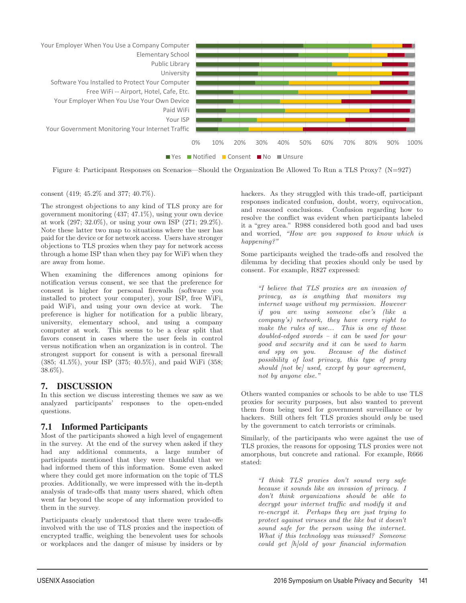

Figure 4: Participant Responses on Scenarios—Should the Organization Be Allowed To Run a TLS Proxy? (N=927)

11

consent (419; 45.2% and 377; 40.7%).

The strongest objections to any kind of TLS proxy are for government monitoring (437; 47.1%), using your own device at work (297; 32.0%), or using your own ISP (271; 29.2%). Note these latter two map to situations where the user has paid for the device or for network access. Users have stronger objections to TLS proxies when they pay for network access through a home ISP than when they pay for WiFi when they are away from home.

When examining the differences among opinions for notification versus consent, we see that the preference for consent is higher for personal firewalls (software you installed to protect your computer), your ISP, free WiFi, paid WiFi, and using your own device at work. The preference is higher for notification for a public library, university, elementary school, and using a company computer at work. This seems to be a clear split that favors consent in cases where the user feels in control versus notification when an organization is in control. The strongest support for consent is with a personal firewall (385; 41.5%), your ISP (375; 40.5%), and paid WiFi (358; 38.6%).

### 7. DISCUSSION

In this section we discuss interesting themes we saw as we analyzed participants' responses to the open-ended questions.

### 7.1 Informed Participants

Most of the participants showed a high level of engagement in the survey. At the end of the survey when asked if they had any additional comments, a large number of participants mentioned that they were thankful that we had informed them of this information. Some even asked where they could get more information on the topic of TLS proxies. Additionally, we were impressed with the in-depth analysis of trade-offs that many users shared, which often went far beyond the scope of any information provided to them in the survey.

Participants clearly understood that there were trade-offs involved with the use of TLS proxies and the inspection of encrypted traffic, weighing the benevolent uses for schools or workplaces and the danger of misuse by insiders or by hackers. As they struggled with this trade-off, participant responses indicated confusion, doubt, worry, equivocation, and reasoned conclusions. Confusion regarding how to resolve the conflict was evident when participants labeled it a "grey area." R988 considered both good and bad uses and worried, "How are you supposed to know which is happening?"

Some participants weighed the trade-offs and resolved the dilemma by deciding that proxies should only be used by consent. For example, R827 expressed:

"I believe that TLS proxies are an invasion of privacy, as is anything that monitors my internet usage without my permission. However if you are using someone else's (like a company's) network, they have every right to make the rules of use... This is one of those doubled-edged swords – it can be used for your good and security and it can be used to harm and spy on you. Because of the distinct possibility of lost privacy, this type of proxy should *[not be]* used, except by your agreement, not by anyone else."

Others wanted companies or schools to be able to use TLS proxies for security purposes, but also wanted to prevent them from being used for government surveillance or by hackers. Still others felt TLS proxies should only be used by the government to catch terrorists or criminals.

Similarly, of the participants who were against the use of TLS proxies, the reasons for opposing TLS proxies were not amorphous, but concrete and rational. For example, R666 stated:

"I think TLS proxies don't sound very safe because it sounds like an invasion of privacy. I don't think organizations should be able to decrypt your internet traffic and modify it and re-encrypt it. Perhaps they are just trying to protect against viruses and the like but it doesn't sound safe for the person using the internet. What if this technology was misused? Someone could get [h]old of your financial information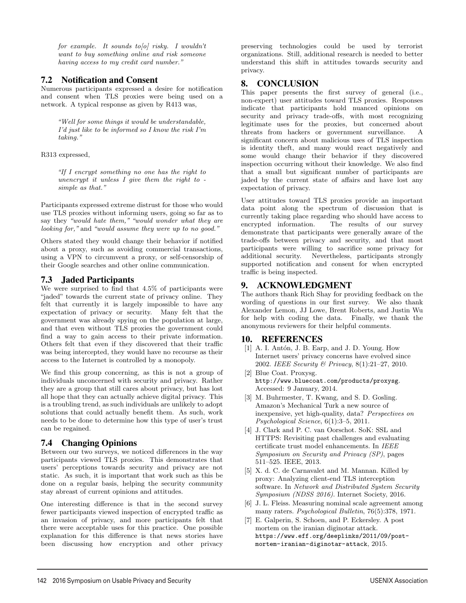for example. It sounds to [o] risky. I wouldn't want to buy something online and risk someone having access to my credit card number."

# 7.2 Notification and Consent

Numerous participants expressed a desire for notification and consent when TLS proxies were being used on a network. A typical response as given by R413 was,

"Well for some things it would be understandable, I'd just like to be informed so I know the risk I'm taking."

R313 expressed,

"If I encrypt something no one has the right to unencrypt it unless I give them the right to simple as that."

Participants expressed extreme distrust for those who would use TLS proxies without informing users, going so far as to say they "would hate them," "would wonder what they are looking for," and "would assume they were up to no good."

Others stated they would change their behavior if notified about a proxy, such as avoiding commercial transactions, using a VPN to circumvent a proxy, or self-censorship of their Google searches and other online communication.

### 7.3 Jaded Participants

We were surprised to find that 4.5% of participants were "jaded" towards the current state of privacy online. They felt that currently it is largely impossible to have any expectation of privacy or security. Many felt that the government was already spying on the population at large, and that even without TLS proxies the government could find a way to gain access to their private information. Others felt that even if they discovered that their traffic was being intercepted, they would have no recourse as their access to the Internet is controlled by a monopoly.

We find this group concerning, as this is not a group of individuals unconcerned with security and privacy. Rather they are a group that still cares about privacy, but has lost all hope that they can actually achieve digital privacy. This is a troubling trend, as such individuals are unlikely to adopt solutions that could actually benefit them. As such, work needs to be done to determine how this type of user's trust can be regained.

### 7.4 Changing Opinions

Between our two surveys, we noticed differences in the way participants viewed TLS proxies. This demonstrates that users' perceptions towards security and privacy are not static. As such, it is important that work such as this be done on a regular basis, helping the security community stay abreast of current opinions and attitudes.

One interesting difference is that in the second survey fewer participants viewed inspection of encrypted traffic as an invasion of privacy, and more participants felt that there were acceptable uses for this practice. One possible explanation for this difference is that news stories have been discussing how encryption and other privacy

preserving technologies could be used by terrorist organizations. Still, additional research is needed to better understand this shift in attitudes towards security and privacy.

# 8. CONCLUSION

This paper presents the first survey of general (i.e., non-expert) user attitudes toward TLS proxies. Responses indicate that participants hold nuanced opinions on security and privacy trade-offs, with most recognizing legitimate uses for the proxies, but concerned about threats from hackers or government surveillance. A significant concern about malicious uses of TLS inspection is identity theft, and many would react negatively and some would change their behavior if they discovered inspection occurring without their knowledge. We also find that a small but significant number of participants are jaded by the current state of affairs and have lost any expectation of privacy.

User attitudes toward TLS proxies provide an important data point along the spectrum of discussion that is currently taking place regarding who should have access to encrypted information. The results of our survey demonstrate that participants were generally aware of the trade-offs between privacy and security, and that most participants were willing to sacrifice some privacy for additional security. Nevertheless, participants strongly supported notification and consent for when encrypted traffic is being inspected.

# 9. ACKNOWLEDGMENT

The authors thank Rich Shay for providing feedback on the wording of questions in our first survey. We also thank Alexander Lemon, JJ Lowe, Brent Roberts, and Justin Wu for help with coding the data. Finally, we thank the anonymous reviewers for their helpful comments.

### 10. REFERENCES

12

- [1] A. I. Antón, J. B. Earp, and J. D. Young. How Internet users' privacy concerns have evolved since 2002. IEEE Security & Privacy, 8(1):21–27, 2010.
- [2] Blue Coat. Proxysg. http://www.bluecoat.com/products/proxysg. Accessed: 9 January, 2014.
- [3] M. Buhrmester, T. Kwang, and S. D. Gosling. Amazon's Mechanical Turk a new source of inexpensive, yet high-quality, data? Perspectives on Psychological Science, 6(1):3–5, 2011.
- [4] J. Clark and P. C. van Oorschot. SoK: SSL and HTTPS: Revisiting past challenges and evaluating certificate trust model enhancements. In IEEE Symposium on Security and Privacy (SP), pages 511–525. IEEE, 2013.
- [5] X. d. C. de Carnavalet and M. Mannan. Killed by proxy: Analyzing client-end TLS interception software. In Network and Distributed System Security Symposium (NDSS 2016). Internet Society, 2016.
- [6] J. L. Fleiss. Measuring nominal scale agreement among many raters. Psychological Bulletin, 76(5):378, 1971.
- [7] E. Galperin, S. Schoen, and P. Eckersley. A post mortem on the iranian diginotar attack. https://www.eff.org/deeplinks/2011/09/postmortem-iranian-diginotar-attack, 2015.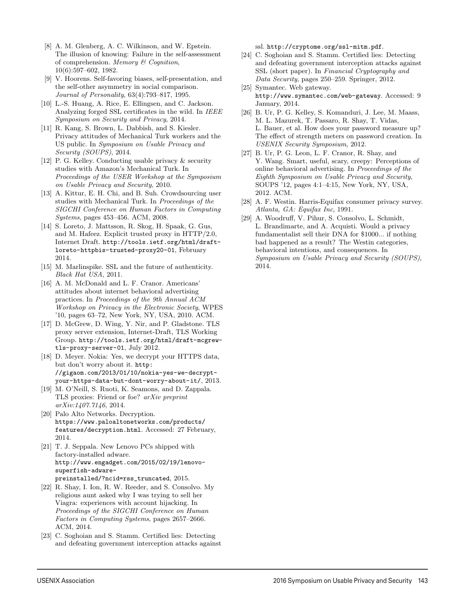- [8] A. M. Glenberg, A. C. Wilkinson, and W. Epstein. The illusion of knowing: Failure in the self-assessment of comprehension. Memory & Cognition, 10(6):597–602, 1982.
- [9] V. Hoorens. Self-favoring biases, self-presentation, and the self-other asymmetry in social comparison. Journal of Personality, 63(4):793–817, 1995.
- [10] L.-S. Huang, A. Rice, E. Ellingsen, and C. Jackson. Analyzing forged SSL certificates in the wild. In IEEE Symposium on Security and Privacy, 2014.
- [11] R. Kang, S. Brown, L. Dabbish, and S. Kiesler. Privacy attitudes of Mechanical Turk workers and the US public. In Symposium on Usable Privacy and Security (SOUPS), 2014.
- [12] P. G. Kelley. Conducting usable privacy & security studies with Amazon's Mechanical Turk. In Proceedings of the USER Workshop at the Symposium on Usable Privacy and Security, 2010.
- [13] A. Kittur, E. H. Chi, and B. Suh. Crowdsourcing user studies with Mechanical Turk. In Proceedings of the SIGCHI Conference on Human Factors in Computing Systems, pages 453–456. ACM, 2008.
- [14] S. Loreto, J. Mattsson, R. Skog, H. Spaak, G. Gus, and M. Hafeez. Explicit trusted proxy in HTTP/2.0, Internet Draft. http://tools.ietf.org/html/draftloreto-httpbis-trusted-proxy20-01, February 2014.
- [15] M. Marlinspike. SSL and the future of authenticity. Black Hat USA, 2011.
- [16] A. M. McDonald and L. F. Cranor. Americans' attitudes about internet behavioral advertising practices. In Proceedings of the 9th Annual ACM Workshop on Privacy in the Electronic Society, WPES '10, pages 63–72, New York, NY, USA, 2010. ACM.
- [17] D. McGrew, D. Wing, Y. Nir, and P. Gladstone. TLS proxy server extension, Internet-Draft, TLS Working Group. http://tools.ietf.org/html/draft-mcgrewtls-proxy-server-01, July 2012.
- [18] D. Meyer. Nokia: Yes, we decrypt your HTTPS data, but don't worry about it. http: //gigaom.com/2013/01/10/nokia-yes-we-decryptyour-https-data-but-dont-worry-about-it/, 2013.
- [19] M. O'Neill, S. Ruoti, K. Seamons, and D. Zappala. TLS proxies: Friend or foe? arXiv preprint arXiv:1407.7146, 2014.
- [20] Palo Alto Networks. Decryption. https://www.paloaltonetworks.com/products/ features/decryption.html. Accessed: 27 February, 2014.
- [21] T. J. Seppala. New Lenovo PCs shipped with factory-installed adware. http://www.engadget.com/2015/02/19/lenovosuperfish-adwarepreinstalled/?ncid=rss\_truncated, 2015.
- [22] R. Shay, I. Ion, R. W. Reeder, and S. Consolvo. My religious aunt asked why I was trying to sell her Viagra: experiences with account hijacking. In Proceedings of the SIGCHI Conference on Human Factors in Computing Systems, pages 2657–2666. ACM, 2014.
- [23] C. Soghoian and S. Stamm. Certified lies: Detecting and defeating government interception attacks against

13

ssl. http://cryptome.org/ssl-mitm.pdf.

- [24] C. Soghoian and S. Stamm. Certified lies: Detecting and defeating government interception attacks against SSL (short paper). In Financial Cryptography and Data Security, pages 250–259. Springer, 2012.
- [25] Symantec. Web gateway. http://www.symantec.com/web-gateway. Accessed: 9 January, 2014.
- [26] B. Ur, P. G. Kelley, S. Komanduri, J. Lee, M. Maass, M. L. Mazurek, T. Passaro, R. Shay, T. Vidas, L. Bauer, et al. How does your password measure up? The effect of strength meters on password creation. In USENIX Security Symposium, 2012.
- [27] B. Ur, P. G. Leon, L. F. Cranor, R. Shay, and Y. Wang. Smart, useful, scary, creepy: Perceptions of online behavioral advertising. In Proceedings of the Eighth Symposium on Usable Privacy and Security, SOUPS '12, pages 4:1–4:15, New York, NY, USA, 2012. ACM.
- [28] A. F. Westin. Harris-Equifax consumer privacy survey. Atlanta, GA: Equifax Inc, 1991.
- [29] A. Woodruff, V. Pihur, S. Consolvo, L. Schmidt, L. Brandimarte, and A. Acquisti. Would a privacy fundamentalist sell their DNA for \$1000... if nothing bad happened as a result? The Westin categories, behavioral intentions, and consequences. In Symposium on Usable Privacy and Security (SOUPS), 2014.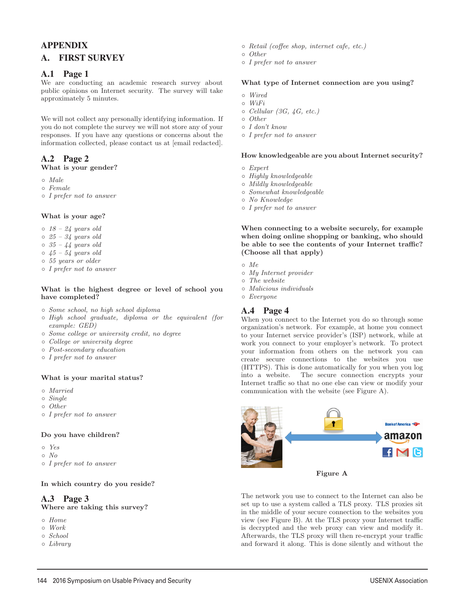# APPENDIX A. FIRST SURVEY

# A.1 Page 1

We are conducting an academic research survey about public opinions on Internet security. The survey will take approximately 5 minutes.

We will not collect any personally identifying information. If you do not complete the survey we will not store any of your responses. If you have any questions or concerns about the information collected, please contact us at [email redacted].

# A.2 Page 2

What is your gender?

- Male
- Female
- I prefer not to answer

#### What is your age?

- $\circ$  18 24 years old
- $\circ$  25 34 years old
- $\circ$  35 44 years old
- $\circ$  45 54 years old
- 55 years or older
- I prefer not to answer

#### What is the highest degree or level of school you have completed?

- Some school, no high school diploma
- High school graduate, diploma or the equivalent (for example: GED)
- Some college or university credit, no degree
- College or university degree
- Post-secondary education
- I prefer not to answer

#### What is your marital status?

- Married
- Single
- Other
- I prefer not to answer

#### Do you have children?

- $\sim V_{ee}$
- No
- I prefer not to answer

#### In which country do you reside?

### A.3 Page 3

Where are taking this survey?

- Home
- Work
- School
- Library
- Retail (coffee shop, internet cafe, etc.)
- Other
- I prefer not to answer

#### What type of Internet connection are you using?

- Wired
- WiFi
- $\circ$  Cellular (3G, 4G, etc.)
- Other
- $\circ$   $\;I$   $don't$   $know$
- I prefer not to answer

#### How knowledgeable are you about Internet security?

- Expert
- Highly knowledgeable
- Mildly knowledgeable
- Somewhat knowledgeable
- No Knowledge
- I prefer not to answer

When connecting to a website securely, for example when doing online shopping or banking, who should be able to see the contents of your Internet traffic? (Choose all that apply)

◦ Me

14

- My Internet provider
- The website
- Malicious individuals
- Everyone

# A.4 Page 4

When you connect to the Internet you do so through some organization's network. For example, at home you connect to your Internet service provider's (ISP) network, while at work you connect to your employer's network. To protect your information from others on the network you can create secure connections to the websites you use (HTTPS). This is done automatically for you when you log into a website. The secure connection encrypts your Internet traffic so that no one else can view or modify your communication with the website (see Figure A).



Figure A

The network you use to connect to the Internet can also be set up to use a system called a TLS proxy. TLS proxies sit in the middle of your secure connection to the websites you view (see Figure B). At the TLS proxy your Internet traffic is decrypted and the web proxy can view and modify it. Afterwards, the TLS proxy will then re-encrypt your traffic and forward it along. This is done silently and without the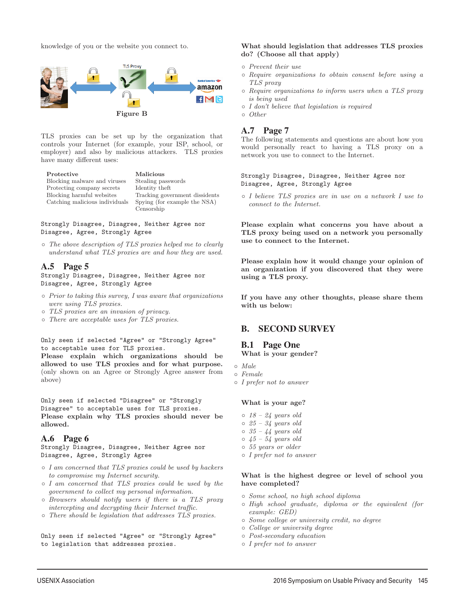knowledge of you or the website you connect to.



TLS proxies can be set up by the organization that controls your Internet (for example, your ISP, school, or employer) and also by malicious attackers. TLS proxies have many different uses:

Blocking malware and viruses Protecting company secrets Identity theft  $Catching$  malicious individuals

Protective Malicious<br>Blocking malware and viruses Stealing passwords Blocking harmful websites Tracking government dissidents Catching malicious individuals Spying (for example the NSA) Censorship

#### Strongly Disagree, Disagree, Neither Agree nor Disagree, Agree, Strongly Agree

◦ The above description of TLS proxies helped me to clearly understand what TLS proxies are and how they are used.

#### A.5 Page 5

Strongly Disagree, Disagree, Neither Agree nor Disagree, Agree, Strongly Agree

- Prior to taking this survey, I was aware that organizations were using TLS proxies.
- TLS proxies are an invasion of privacy.
- There are acceptable uses for TLS proxies.

Only seen if selected "Agree" or "Strongly Agree" to acceptable uses for TLS proxies.

Please explain which organizations should be allowed to use TLS proxies and for what purpose. (only shown on an Agree or Strongly Agree answer from above)

Only seen if selected "Disagree" or "Strongly Disagree" to acceptable uses for TLS proxies. Please explain why TLS proxies should never be allowed.

### A.6 Page 6

Strongly Disagree, Disagree, Neither Agree nor Disagree, Agree, Strongly Agree

- I am concerned that TLS proxies could be used by hackers to compromise my Internet security.
- I am concerned that TLS proxies could be used by the government to collect my personal information.
- Browsers should notify users if there is a TLS proxy intercepting and decrypting their Internet traffic.
- There should be legislation that addresses TLS proxies.

Only seen if selected "Agree" or "Strongly Agree" to legislation that addresses proxies.

#### What should legislation that addresses TLS proxies do? (Choose all that apply)

- Prevent their use
- Require organizations to obtain consent before using a TLS proxy
- Require organizations to inform users when a TLS proxy is being used
- I don't believe that legislation is required
- Other

### A.7 Page 7

The following statements and questions are about how you would personally react to having a TLS proxy on a network you use to connect to the Internet.

Strongly Disagree, Disagree, Neither Agree nor Disagree, Agree, Strongly Agree

◦ I believe TLS proxies are in use on a network I use to connect to the Internet.

Please explain what concerns you have about a TLS proxy being used on a network you personally use to connect to the Internet.

Please explain how it would change your opinion of an organization if you discovered that they were using a TLS proxy.

If you have any other thoughts, please share them with us below:

### B. SECOND SURVEY

#### B.1 Page One

What is your gender?

- Male
- Female
- I prefer not to answer

#### What is your age?

- $\circ$  18 24 years old
- $\circ$  25 34 years old
- $\circ$  35 44 years old
- $\circ$  45 54 years old
- 55 years or older
- I prefer not to answer

#### What is the highest degree or level of school you have completed?

- Some school, no high school diploma
- High school graduate, diploma or the equivalent (for example: GED)
- Some college or university credit, no degree
- College or university degree
- Post-secondary education
- I prefer not to answer

15